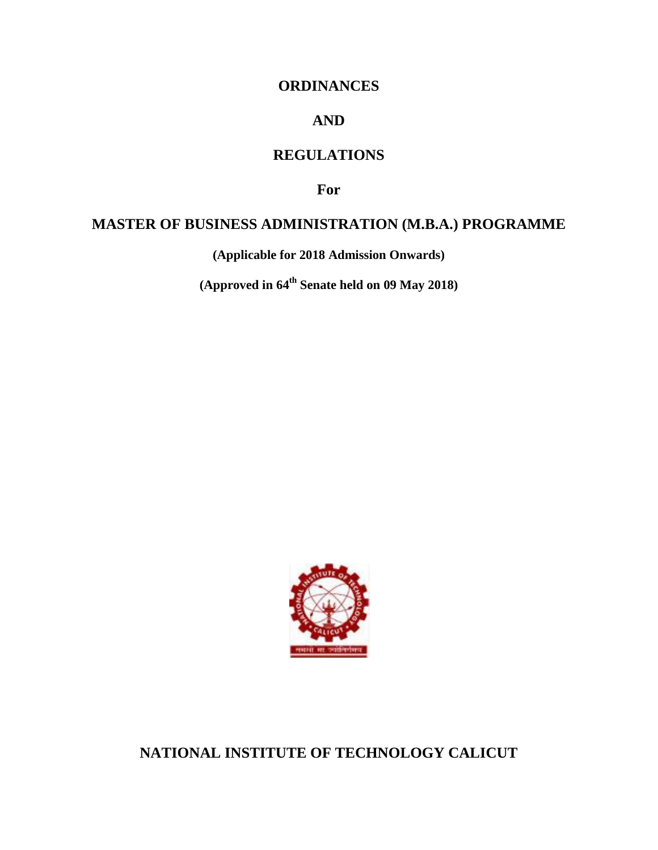# **ORDINANCES**

# **AND**

# **REGULATIONS**

**For**

## **MASTER OF BUSINESS ADMINISTRATION (M.B.A.) PROGRAMME**

**(Applicable for 2018 Admission Onwards)**

**(Approved in 64th Senate held on 09 May 2018)**



**NATIONAL INSTITUTE OF TECHNOLOGY CALICUT**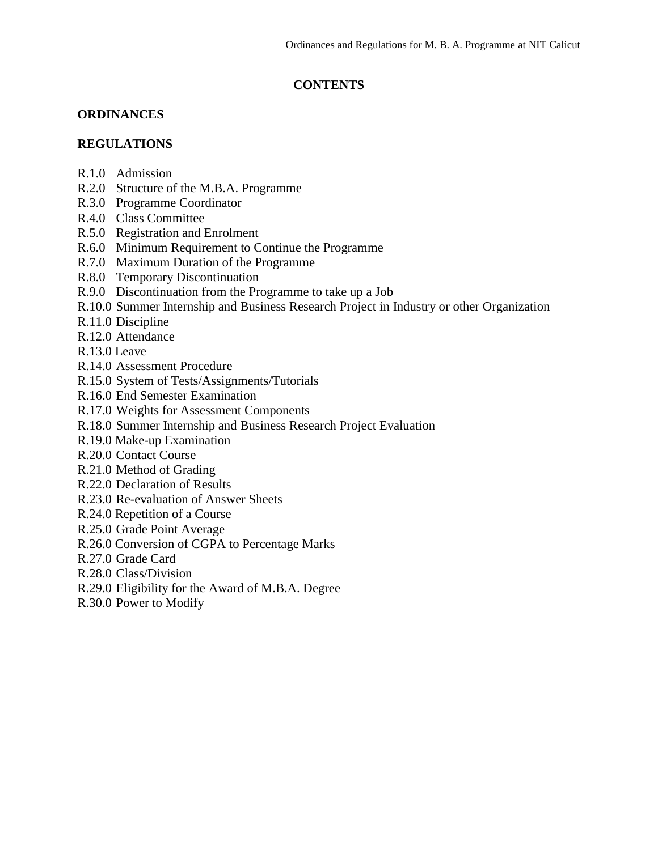## **CONTENTS**

### **ORDINANCES**

### **REGULATIONS**

- R.1.0 Admission
- R.2.0 Structure of the M.B.A. Programme
- R.3.0 Programme Coordinator
- R.4.0 Class Committee
- R.5.0 Registration and Enrolment
- R.6.0 Minimum Requirement to Continue the Programme
- R.7.0 Maximum Duration of the Programme
- R.8.0 Temporary Discontinuation
- R.9.0 Discontinuation from the Programme to take up a Job
- R.10.0 Summer Internship and Business Research Project in Industry or other Organization
- R.11.0 Discipline
- R.12.0 Attendance
- R.13.0 Leave
- R.14.0 Assessment Procedure
- R.15.0 System of Tests/Assignments/Tutorials
- R.16.0 End Semester Examination
- R.17.0 Weights for Assessment Components
- R.18.0 Summer Internship and Business Research Project Evaluation
- R.19.0 Make-up Examination
- R.20.0 Contact Course
- R.21.0 Method of Grading
- R.22.0 Declaration of Results
- R.23.0 Re-evaluation of Answer Sheets
- R.24.0 Repetition of a Course
- R.25.0 Grade Point Average
- R.26.0 Conversion of CGPA to Percentage Marks
- R.27.0 Grade Card
- R.28.0 Class/Division
- R.29.0 Eligibility for the Award of M.B.A. Degree
- R.30.0 Power to Modify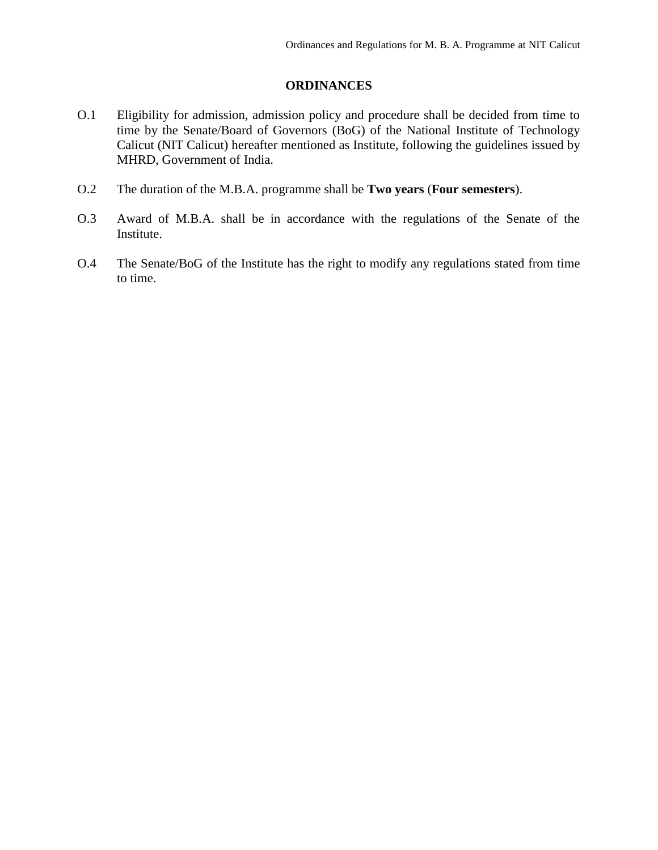### **ORDINANCES**

- O.1 Eligibility for admission, admission policy and procedure shall be decided from time to time by the Senate/Board of Governors (BoG) of the National Institute of Technology Calicut (NIT Calicut) hereafter mentioned as Institute, following the guidelines issued by MHRD, Government of India.
- O.2 The duration of the M.B.A. programme shall be **Two years** (**Four semesters**).
- O.3 Award of M.B.A. shall be in accordance with the regulations of the Senate of the Institute.
- O.4 The Senate/BoG of the Institute has the right to modify any regulations stated from time to time.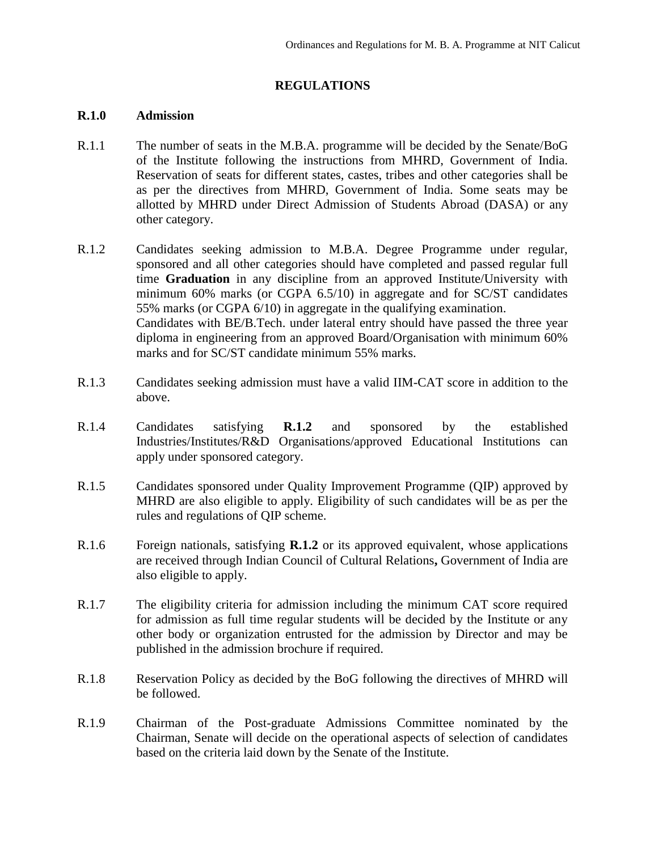### **REGULATIONS**

#### **R.1.0 Admission**

- R.1.1 The number of seats in the M.B.A. programme will be decided by the Senate/BoG of the Institute following the instructions from MHRD, Government of India. Reservation of seats for different states, castes, tribes and other categories shall be as per the directives from MHRD, Government of India. Some seats may be allotted by MHRD under Direct Admission of Students Abroad (DASA) or any other category.
- R.1.2 Candidates seeking admission to M.B.A. Degree Programme under regular, sponsored and all other categories should have completed and passed regular full time **Graduation** in any discipline from an approved Institute/University with minimum 60% marks (or CGPA 6.5/10) in aggregate and for SC/ST candidates 55% marks (or CGPA 6/10) in aggregate in the qualifying examination. Candidates with BE/B.Tech. under lateral entry should have passed the three year diploma in engineering from an approved Board/Organisation with minimum 60% marks and for SC/ST candidate minimum 55% marks.
- R.1.3 Candidates seeking admission must have a valid IIM-CAT score in addition to the above.
- R.1.4 Candidates satisfying **R.1.2** and sponsored by the established Industries/Institutes/R&D Organisations/approved Educational Institutions can apply under sponsored category.
- R.1.5 Candidates sponsored under Quality Improvement Programme (QIP) approved by MHRD are also eligible to apply. Eligibility of such candidates will be as per the rules and regulations of QIP scheme.
- R.1.6 Foreign nationals, satisfying **R.1.2** or its approved equivalent, whose applications are received through Indian Council of Cultural Relations**,** Government of India are also eligible to apply.
- R.1.7 The eligibility criteria for admission including the minimum CAT score required for admission as full time regular students will be decided by the Institute or any other body or organization entrusted for the admission by Director and may be published in the admission brochure if required.
- R.1.8 Reservation Policy as decided by the BoG following the directives of MHRD will be followed.
- R.1.9 Chairman of the Post-graduate Admissions Committee nominated by the Chairman, Senate will decide on the operational aspects of selection of candidates based on the criteria laid down by the Senate of the Institute.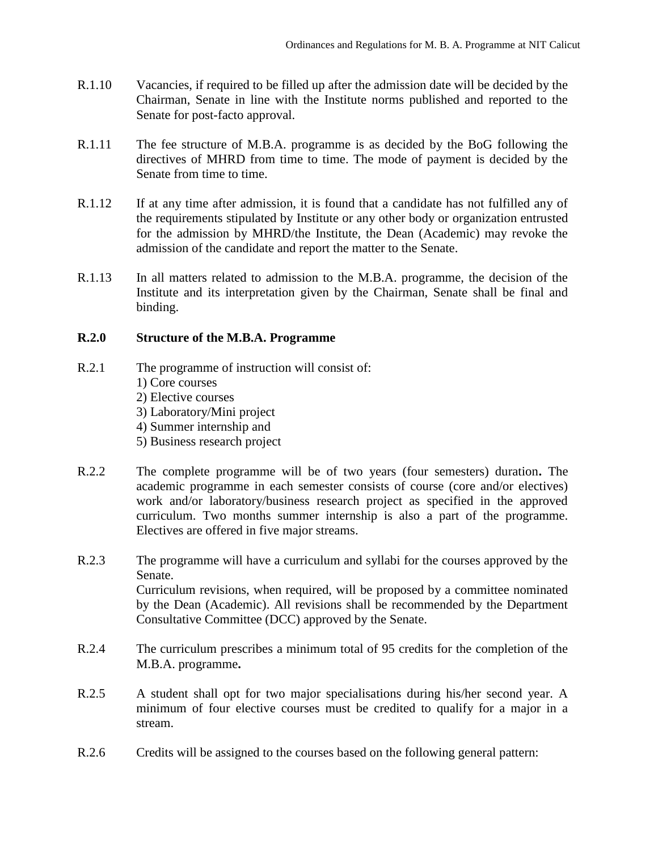- R.1.10 Vacancies, if required to be filled up after the admission date will be decided by the Chairman, Senate in line with the Institute norms published and reported to the Senate for post-facto approval.
- R.1.11 The fee structure of M.B.A. programme is as decided by the BoG following the directives of MHRD from time to time. The mode of payment is decided by the Senate from time to time.
- R.1.12 If at any time after admission, it is found that a candidate has not fulfilled any of the requirements stipulated by Institute or any other body or organization entrusted for the admission by MHRD/the Institute, the Dean (Academic) may revoke the admission of the candidate and report the matter to the Senate.
- R.1.13 In all matters related to admission to the M.B.A. programme, the decision of the Institute and its interpretation given by the Chairman, Senate shall be final and binding.

### **R.2.0 Structure of the M.B.A. Programme**

- R.2.1 The programme of instruction will consist of: 1) Core courses 2) Elective courses 3) Laboratory/Mini project 4) Summer internship and
	- 5) Business research project
- R.2.2 The complete programme will be of two years (four semesters) duration**.** The academic programme in each semester consists of course (core and/or electives) work and/or laboratory/business research project as specified in the approved curriculum. Two months summer internship is also a part of the programme. Electives are offered in five major streams.
- R.2.3 The programme will have a curriculum and syllabi for the courses approved by the Senate. Curriculum revisions, when required, will be proposed by a committee nominated by the Dean (Academic). All revisions shall be recommended by the Department Consultative Committee (DCC) approved by the Senate.
- R.2.4 The curriculum prescribes a minimum total of 95 credits for the completion of the M.B.A. programme**.**
- R.2.5 A student shall opt for two major specialisations during his/her second year. A minimum of four elective courses must be credited to qualify for a major in a stream.
- R.2.6 Credits will be assigned to the courses based on the following general pattern: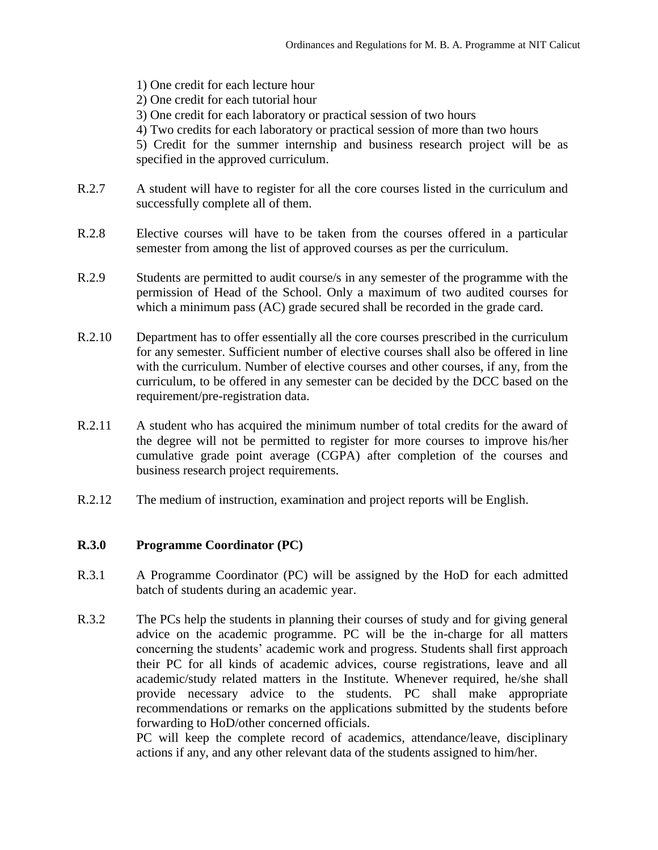- 1) One credit for each lecture hour 2) One credit for each tutorial hour 3) One credit for each laboratory or practical session of two hours 4) Two credits for each laboratory or practical session of more than two hours 5) Credit for the summer internship and business research project will be as specified in the approved curriculum.
- R.2.7 A student will have to register for all the core courses listed in the curriculum and successfully complete all of them.
- R.2.8 Elective courses will have to be taken from the courses offered in a particular semester from among the list of approved courses as per the curriculum.
- R.2.9 Students are permitted to audit course/s in any semester of the programme with the permission of Head of the School. Only a maximum of two audited courses for which a minimum pass (AC) grade secured shall be recorded in the grade card.
- R.2.10 Department has to offer essentially all the core courses prescribed in the curriculum for any semester. Sufficient number of elective courses shall also be offered in line with the curriculum. Number of elective courses and other courses, if any, from the curriculum, to be offered in any semester can be decided by the DCC based on the requirement/pre-registration data.
- R.2.11 A student who has acquired the minimum number of total credits for the award of the degree will not be permitted to register for more courses to improve his/her cumulative grade point average (CGPA) after completion of the courses and business research project requirements.
- R.2.12 The medium of instruction, examination and project reports will be English.

### **R.3.0 Programme Coordinator (PC)**

- R.3.1 A Programme Coordinator (PC) will be assigned by the HoD for each admitted batch of students during an academic year.
- R.3.2 The PCs help the students in planning their courses of study and for giving general advice on the academic programme. PC will be the in-charge for all matters concerning the students' academic work and progress. Students shall first approach their PC for all kinds of academic advices, course registrations, leave and all academic/study related matters in the Institute. Whenever required, he/she shall provide necessary advice to the students. PC shall make appropriate recommendations or remarks on the applications submitted by the students before forwarding to HoD/other concerned officials.

PC will keep the complete record of academics, attendance/leave, disciplinary actions if any, and any other relevant data of the students assigned to him/her.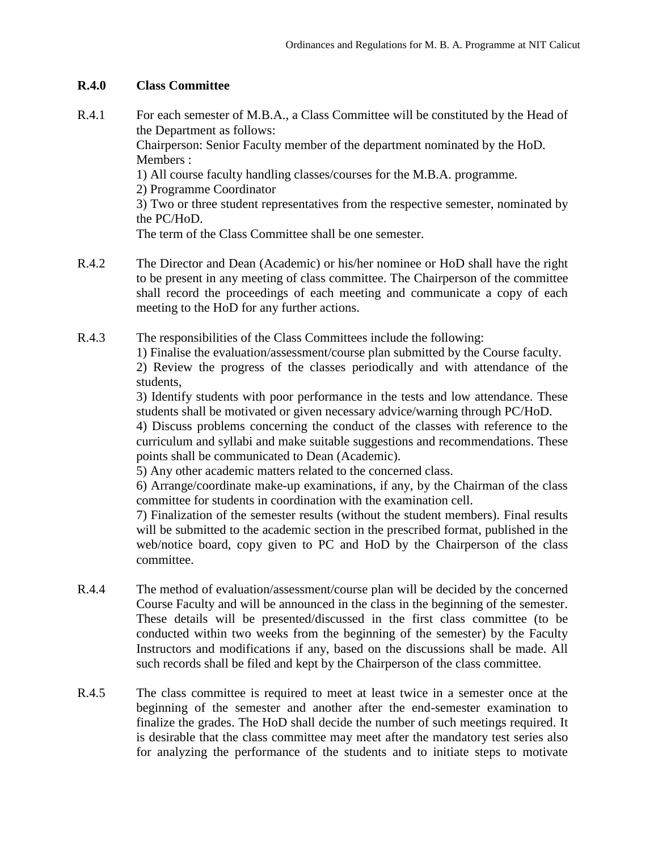### **R.4.0 Class Committee**

- R.4.1 For each semester of M.B.A., a Class Committee will be constituted by the Head of the Department as follows: Chairperson: Senior Faculty member of the department nominated by the HoD. Members : 1) All course faculty handling classes/courses for the M.B.A. programme. 2) Programme Coordinator 3) Two or three student representatives from the respective semester, nominated by the PC/HoD. The term of the Class Committee shall be one semester.
- R.4.2 The Director and Dean (Academic) or his/her nominee or HoD shall have the right to be present in any meeting of class committee. The Chairperson of the committee shall record the proceedings of each meeting and communicate a copy of each meeting to the HoD for any further actions.
- R.4.3 The responsibilities of the Class Committees include the following:

1) Finalise the evaluation/assessment/course plan submitted by the Course faculty.

2) Review the progress of the classes periodically and with attendance of the students,

3) Identify students with poor performance in the tests and low attendance. These students shall be motivated or given necessary advice/warning through PC/HoD.

4) Discuss problems concerning the conduct of the classes with reference to the curriculum and syllabi and make suitable suggestions and recommendations. These points shall be communicated to Dean (Academic).

5) Any other academic matters related to the concerned class.

6) Arrange/coordinate make-up examinations, if any, by the Chairman of the class committee for students in coordination with the examination cell.

7) Finalization of the semester results (without the student members). Final results will be submitted to the academic section in the prescribed format, published in the web/notice board, copy given to PC and HoD by the Chairperson of the class committee.

- R.4.4 The method of evaluation/assessment/course plan will be decided by the concerned Course Faculty and will be announced in the class in the beginning of the semester. These details will be presented/discussed in the first class committee (to be conducted within two weeks from the beginning of the semester) by the Faculty Instructors and modifications if any, based on the discussions shall be made. All such records shall be filed and kept by the Chairperson of the class committee.
- R.4.5 The class committee is required to meet at least twice in a semester once at the beginning of the semester and another after the end-semester examination to finalize the grades. The HoD shall decide the number of such meetings required. It is desirable that the class committee may meet after the mandatory test series also for analyzing the performance of the students and to initiate steps to motivate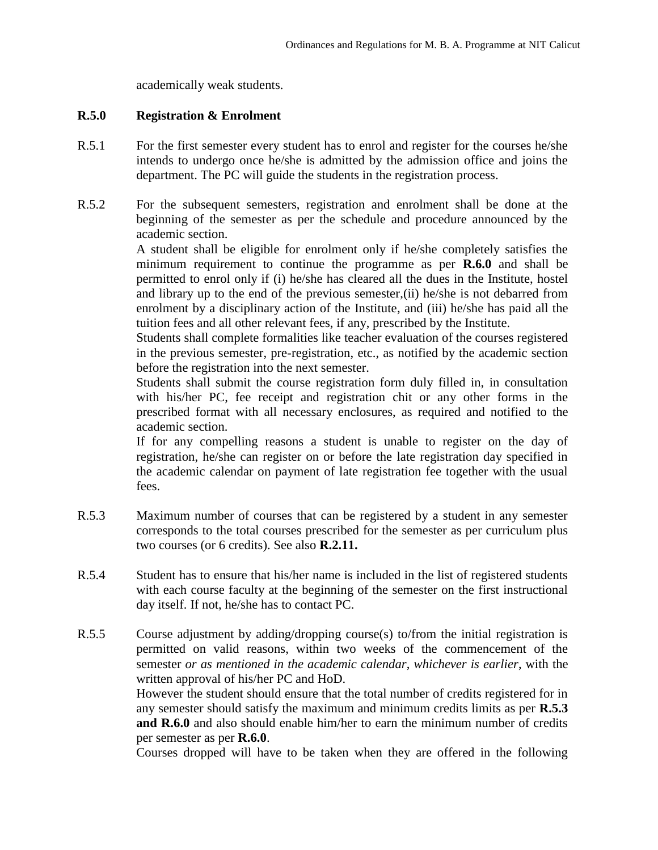academically weak students.

### **R.5.0 Registration & Enrolment**

- R.5.1 For the first semester every student has to enrol and register for the courses he/she intends to undergo once he/she is admitted by the admission office and joins the department. The PC will guide the students in the registration process.
- R.5.2 For the subsequent semesters, registration and enrolment shall be done at the beginning of the semester as per the schedule and procedure announced by the academic section.

A student shall be eligible for enrolment only if he/she completely satisfies the minimum requirement to continue the programme as per **R.6.0** and shall be permitted to enrol only if (i) he/she has cleared all the dues in the Institute, hostel and library up to the end of the previous semester,(ii) he/she is not debarred from enrolment by a disciplinary action of the Institute, and (iii) he/she has paid all the tuition fees and all other relevant fees, if any, prescribed by the Institute.

Students shall complete formalities like teacher evaluation of the courses registered in the previous semester, pre-registration, etc., as notified by the academic section before the registration into the next semester.

Students shall submit the course registration form duly filled in, in consultation with his/her PC, fee receipt and registration chit or any other forms in the prescribed format with all necessary enclosures, as required and notified to the academic section.

If for any compelling reasons a student is unable to register on the day of registration, he/she can register on or before the late registration day specified in the academic calendar on payment of late registration fee together with the usual fees.

- R.5.3 Maximum number of courses that can be registered by a student in any semester corresponds to the total courses prescribed for the semester as per curriculum plus two courses (or 6 credits). See also **R.2.11.**
- R.5.4 Student has to ensure that his/her name is included in the list of registered students with each course faculty at the beginning of the semester on the first instructional day itself. If not, he/she has to contact PC.
- R.5.5 Course adjustment by adding/dropping course(s) to/from the initial registration is permitted on valid reasons, within two weeks of the commencement of the semester *or as mentioned in the academic calendar*, *whichever is earlier*, with the written approval of his/her PC and HoD.

However the student should ensure that the total number of credits registered for in any semester should satisfy the maximum and minimum credits limits as per **R.5.3 and R.6.0** and also should enable him/her to earn the minimum number of credits per semester as per **R.6.0**.

Courses dropped will have to be taken when they are offered in the following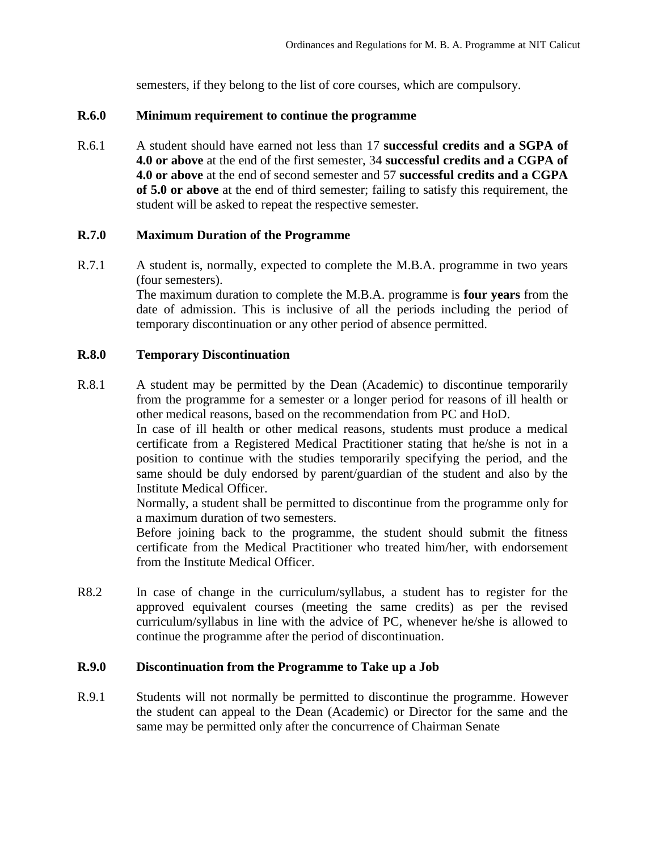semesters, if they belong to the list of core courses, which are compulsory.

#### **R.6.0 Minimum requirement to continue the programme**

R.6.1 A student should have earned not less than 17 **successful credits and a SGPA of 4.0 or above** at the end of the first semester, 34 **successful credits and a CGPA of 4.0 or above** at the end of second semester and 57 **successful credits and a CGPA of 5.0 or above** at the end of third semester; failing to satisfy this requirement, the student will be asked to repeat the respective semester.

#### **R.7.0 Maximum Duration of the Programme**

R.7.1 A student is, normally, expected to complete the M.B.A. programme in two years (four semesters).

> The maximum duration to complete the M.B.A. programme is **four years** from the date of admission. This is inclusive of all the periods including the period of temporary discontinuation or any other period of absence permitted.

#### **R.8.0 Temporary Discontinuation**

R.8.1 A student may be permitted by the Dean (Academic) to discontinue temporarily from the programme for a semester or a longer period for reasons of ill health or other medical reasons, based on the recommendation from PC and HoD.

> In case of ill health or other medical reasons, students must produce a medical certificate from a Registered Medical Practitioner stating that he/she is not in a position to continue with the studies temporarily specifying the period, and the same should be duly endorsed by parent/guardian of the student and also by the Institute Medical Officer.

> Normally, a student shall be permitted to discontinue from the programme only for a maximum duration of two semesters.

> Before joining back to the programme, the student should submit the fitness certificate from the Medical Practitioner who treated him/her, with endorsement from the Institute Medical Officer.

R8.2 In case of change in the curriculum/syllabus, a student has to register for the approved equivalent courses (meeting the same credits) as per the revised curriculum/syllabus in line with the advice of PC, whenever he/she is allowed to continue the programme after the period of discontinuation.

### **R.9.0 Discontinuation from the Programme to Take up a Job**

R.9.1 Students will not normally be permitted to discontinue the programme. However the student can appeal to the Dean (Academic) or Director for the same and the same may be permitted only after the concurrence of Chairman Senate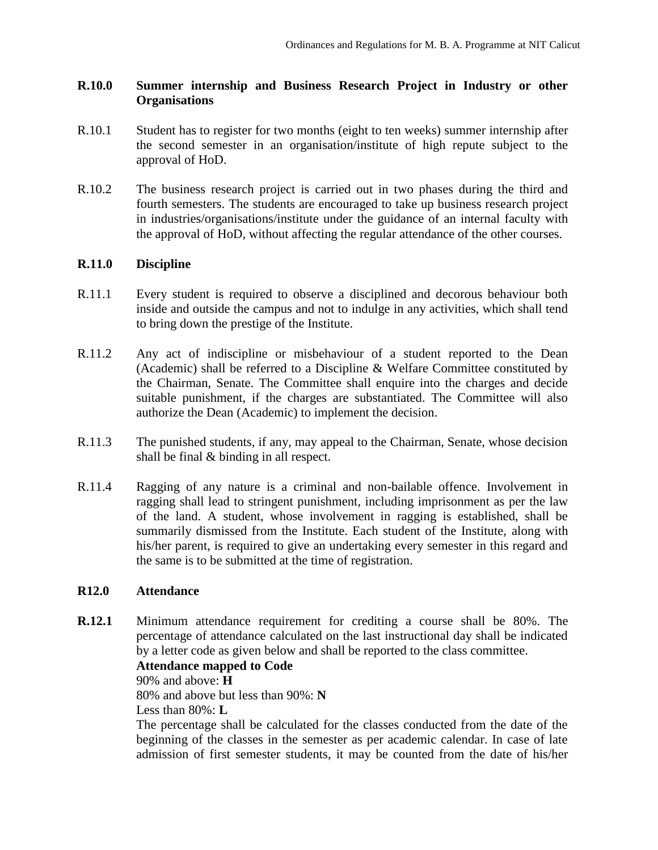### **R.10.0 Summer internship and Business Research Project in Industry or other Organisations**

- R.10.1 Student has to register for two months (eight to ten weeks) summer internship after the second semester in an organisation/institute of high repute subject to the approval of HoD.
- R.10.2 The business research project is carried out in two phases during the third and fourth semesters. The students are encouraged to take up business research project in industries/organisations/institute under the guidance of an internal faculty with the approval of HoD, without affecting the regular attendance of the other courses.

### **R.11.0 Discipline**

- R.11.1 Every student is required to observe a disciplined and decorous behaviour both inside and outside the campus and not to indulge in any activities, which shall tend to bring down the prestige of the Institute.
- R.11.2 Any act of indiscipline or misbehaviour of a student reported to the Dean (Academic) shall be referred to a Discipline & Welfare Committee constituted by the Chairman, Senate. The Committee shall enquire into the charges and decide suitable punishment, if the charges are substantiated. The Committee will also authorize the Dean (Academic) to implement the decision.
- R.11.3 The punished students, if any, may appeal to the Chairman, Senate, whose decision shall be final & binding in all respect.
- R.11.4 Ragging of any nature is a criminal and non-bailable offence. Involvement in ragging shall lead to stringent punishment, including imprisonment as per the law of the land. A student, whose involvement in ragging is established, shall be summarily dismissed from the Institute. Each student of the Institute, along with his/her parent, is required to give an undertaking every semester in this regard and the same is to be submitted at the time of registration.

### **R12.0 Attendance**

**R.12.1** Minimum attendance requirement for crediting a course shall be 80%. The percentage of attendance calculated on the last instructional day shall be indicated by a letter code as given below and shall be reported to the class committee.

### **Attendance mapped to Code**

90% and above: **H**  80% and above but less than 90%: **N** 

Less than 80%: **L** 

The percentage shall be calculated for the classes conducted from the date of the beginning of the classes in the semester as per academic calendar. In case of late admission of first semester students, it may be counted from the date of his/her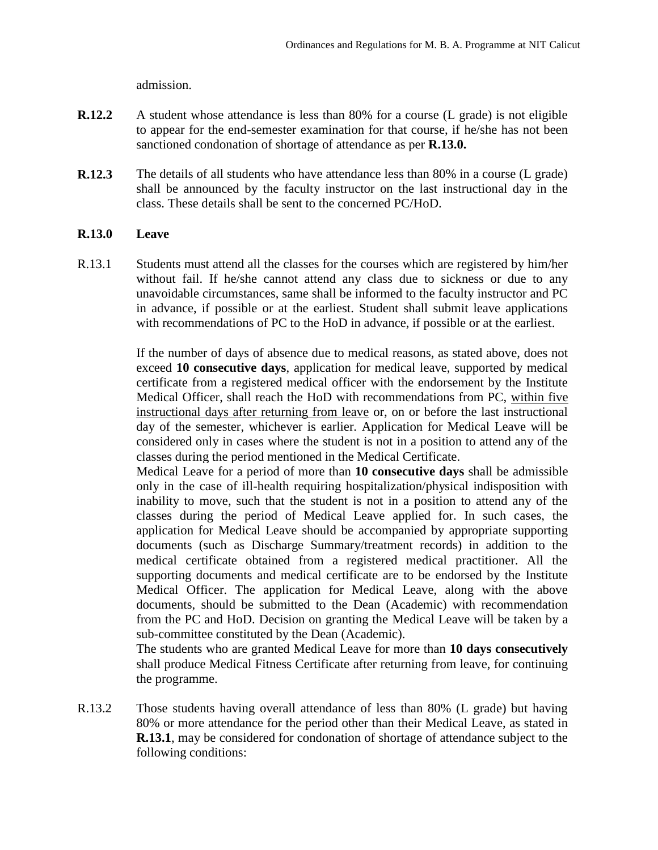admission.

- **R.12.2** A student whose attendance is less than 80% for a course (L grade) is not eligible to appear for the end-semester examination for that course, if he/she has not been sanctioned condonation of shortage of attendance as per **R.13.0.**
- **R.12.3** The details of all students who have attendance less than 80% in a course (L grade) shall be announced by the faculty instructor on the last instructional day in the class. These details shall be sent to the concerned PC/HoD.

### **R.13.0 Leave**

R.13.1 Students must attend all the classes for the courses which are registered by him/her without fail. If he/she cannot attend any class due to sickness or due to any unavoidable circumstances, same shall be informed to the faculty instructor and PC in advance, if possible or at the earliest. Student shall submit leave applications with recommendations of PC to the HoD in advance, if possible or at the earliest.

> If the number of days of absence due to medical reasons, as stated above, does not exceed **10 consecutive days**, application for medical leave, supported by medical certificate from a registered medical officer with the endorsement by the Institute Medical Officer, shall reach the HoD with recommendations from PC, within five instructional days after returning from leave or, on or before the last instructional day of the semester, whichever is earlier. Application for Medical Leave will be considered only in cases where the student is not in a position to attend any of the classes during the period mentioned in the Medical Certificate.

> Medical Leave for a period of more than **10 consecutive days** shall be admissible only in the case of ill-health requiring hospitalization/physical indisposition with inability to move, such that the student is not in a position to attend any of the classes during the period of Medical Leave applied for. In such cases, the application for Medical Leave should be accompanied by appropriate supporting documents (such as Discharge Summary/treatment records) in addition to the medical certificate obtained from a registered medical practitioner. All the supporting documents and medical certificate are to be endorsed by the Institute Medical Officer. The application for Medical Leave, along with the above documents, should be submitted to the Dean (Academic) with recommendation from the PC and HoD. Decision on granting the Medical Leave will be taken by a sub-committee constituted by the Dean (Academic).

> The students who are granted Medical Leave for more than **10 days consecutively** shall produce Medical Fitness Certificate after returning from leave, for continuing the programme.

R.13.2 Those students having overall attendance of less than 80% (L grade) but having 80% or more attendance for the period other than their Medical Leave, as stated in **R.13.1**, may be considered for condonation of shortage of attendance subject to the following conditions: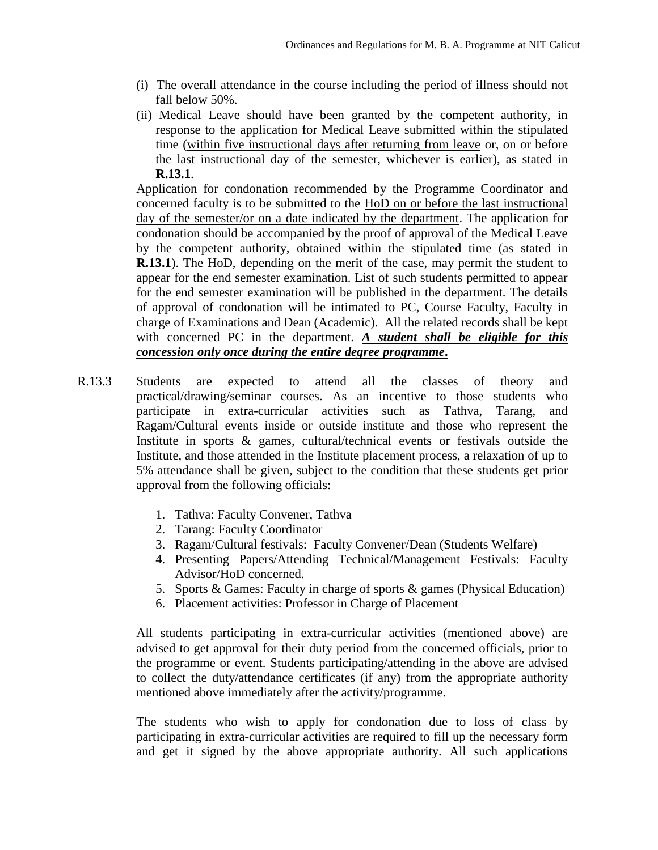- (i) The overall attendance in the course including the period of illness should not fall below 50%.
- (ii) Medical Leave should have been granted by the competent authority, in response to the application for Medical Leave submitted within the stipulated time (within five instructional days after returning from leave or, on or before the last instructional day of the semester, whichever is earlier), as stated in **R.13.1**.

Application for condonation recommended by the Programme Coordinator and concerned faculty is to be submitted to the HoD on or before the last instructional day of the semester/or on a date indicated by the department. The application for condonation should be accompanied by the proof of approval of the Medical Leave by the competent authority, obtained within the stipulated time (as stated in **R.13.1**). The HoD, depending on the merit of the case, may permit the student to appear for the end semester examination. List of such students permitted to appear for the end semester examination will be published in the department. The details of approval of condonation will be intimated to PC, Course Faculty, Faculty in charge of Examinations and Dean (Academic). All the related records shall be kept with concerned PC in the department. *A student shall be eligible for this concession only once during the entire degree programme***.**

- R.13.3 Students are expected to attend all the classes of theory and practical/drawing/seminar courses. As an incentive to those students who participate in extra-curricular activities such as Tathva, Tarang, and Ragam/Cultural events inside or outside institute and those who represent the Institute in sports & games, cultural/technical events or festivals outside the Institute, and those attended in the Institute placement process, a relaxation of up to 5% attendance shall be given, subject to the condition that these students get prior approval from the following officials:
	- 1. Tathva: Faculty Convener, Tathva
	- 2. Tarang: Faculty Coordinator
	- 3. Ragam/Cultural festivals: Faculty Convener/Dean (Students Welfare)
	- 4. Presenting Papers/Attending Technical/Management Festivals: Faculty Advisor/HoD concerned.
	- 5. Sports & Games: Faculty in charge of sports & games (Physical Education)
	- 6. Placement activities: Professor in Charge of Placement

All students participating in extra-curricular activities (mentioned above) are advised to get approval for their duty period from the concerned officials, prior to the programme or event. Students participating/attending in the above are advised to collect the duty/attendance certificates (if any) from the appropriate authority mentioned above immediately after the activity/programme.

The students who wish to apply for condonation due to loss of class by participating in extra-curricular activities are required to fill up the necessary form and get it signed by the above appropriate authority. All such applications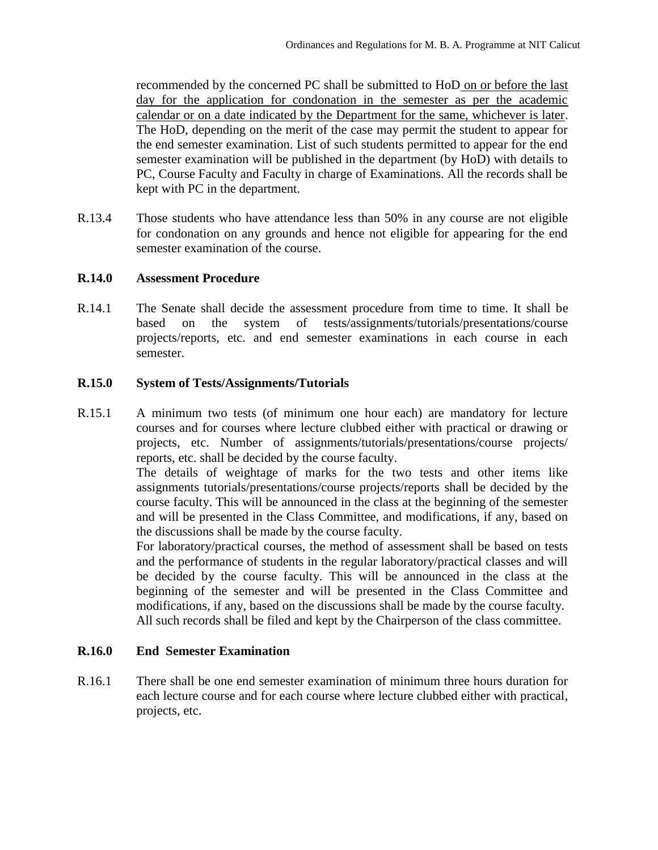recommended by the concerned PC shall be submitted to HoD on or before the last day for the application for condonation in the semester as per the academic calendar or on a date indicated by the Department for the same, whichever is later. The HoD, depending on the merit of the case may permit the student to appear for the end semester examination. List of such students permitted to appear for the end semester examination will be published in the department (by HoD) with details to PC, Course Faculty and Faculty in charge of Examinations. All the records shall be kept with PC in the department.

R.13.4 Those students who have attendance less than 50% in any course are not eligible for condonation on any grounds and hence not eligible for appearing for the end semester examination of the course.

### **R.14.0 Assessment Procedure**

R.14.1 The Senate shall decide the assessment procedure from time to time. It shall be based on the system of tests/assignments/tutorials/presentations/course projects/reports, etc. and end semester examinations in each course in each semester.

### **R.15.0 System of Tests/Assignments/Tutorials**

R.15.1 A minimum two tests (of minimum one hour each) are mandatory for lecture courses and for courses where lecture clubbed either with practical or drawing or projects, etc. Number of assignments/tutorials/presentations/course projects/ reports, etc. shall be decided by the course faculty.

> The details of weightage of marks for the two tests and other items like assignments tutorials/presentations/course projects/reports shall be decided by the course faculty. This will be announced in the class at the beginning of the semester and will be presented in the Class Committee, and modifications, if any, based on the discussions shall be made by the course faculty.

> For laboratory/practical courses, the method of assessment shall be based on tests and the performance of students in the regular laboratory/practical classes and will be decided by the course faculty. This will be announced in the class at the beginning of the semester and will be presented in the Class Committee and modifications, if any, based on the discussions shall be made by the course faculty. All such records shall be filed and kept by the Chairperson of the class committee.

### **R.16.0 End Semester Examination**

R.16.1 There shall be one end semester examination of minimum three hours duration for each lecture course and for each course where lecture clubbed either with practical, projects, etc.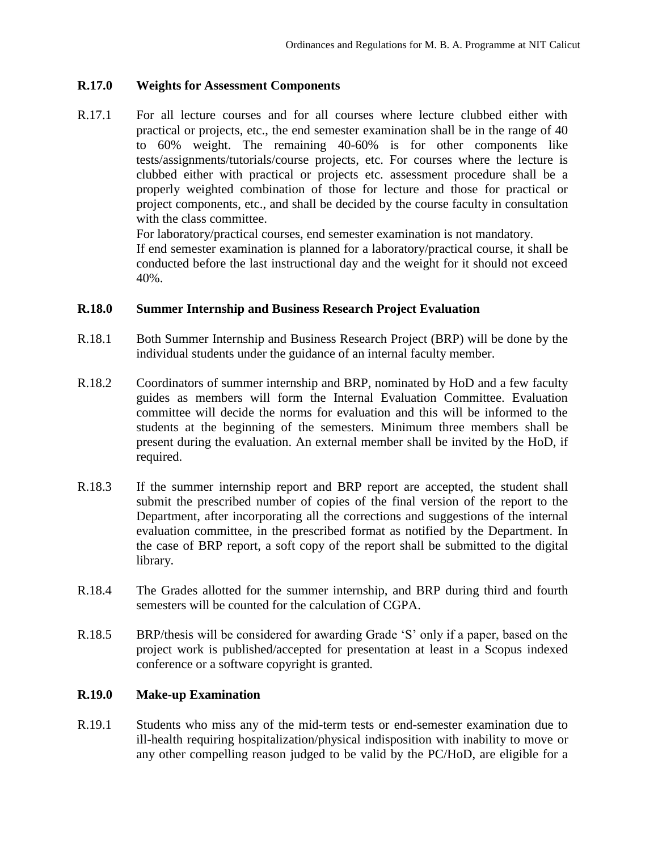### **R.17.0 Weights for Assessment Components**

R.17.1 For all lecture courses and for all courses where lecture clubbed either with practical or projects, etc., the end semester examination shall be in the range of 40 to 60% weight. The remaining 40-60% is for other components like tests/assignments/tutorials/course projects, etc. For courses where the lecture is clubbed either with practical or projects etc. assessment procedure shall be a properly weighted combination of those for lecture and those for practical or project components, etc., and shall be decided by the course faculty in consultation with the class committee.

For laboratory/practical courses, end semester examination is not mandatory.

If end semester examination is planned for a laboratory/practical course, it shall be conducted before the last instructional day and the weight for it should not exceed 40%.

#### **R.18.0 Summer Internship and Business Research Project Evaluation**

- R.18.1 Both Summer Internship and Business Research Project (BRP) will be done by the individual students under the guidance of an internal faculty member.
- R.18.2 Coordinators of summer internship and BRP, nominated by HoD and a few faculty guides as members will form the Internal Evaluation Committee. Evaluation committee will decide the norms for evaluation and this will be informed to the students at the beginning of the semesters. Minimum three members shall be present during the evaluation. An external member shall be invited by the HoD, if required.
- R.18.3 If the summer internship report and BRP report are accepted, the student shall submit the prescribed number of copies of the final version of the report to the Department, after incorporating all the corrections and suggestions of the internal evaluation committee, in the prescribed format as notified by the Department. In the case of BRP report, a soft copy of the report shall be submitted to the digital library.
- R.18.4 The Grades allotted for the summer internship, and BRP during third and fourth semesters will be counted for the calculation of CGPA.
- R.18.5 BRP/thesis will be considered for awarding Grade 'S' only if a paper, based on the project work is published/accepted for presentation at least in a Scopus indexed conference or a software copyright is granted.

### **R.19.0 Make-up Examination**

R.19.1 Students who miss any of the mid-term tests or end-semester examination due to ill-health requiring hospitalization/physical indisposition with inability to move or any other compelling reason judged to be valid by the PC/HoD, are eligible for a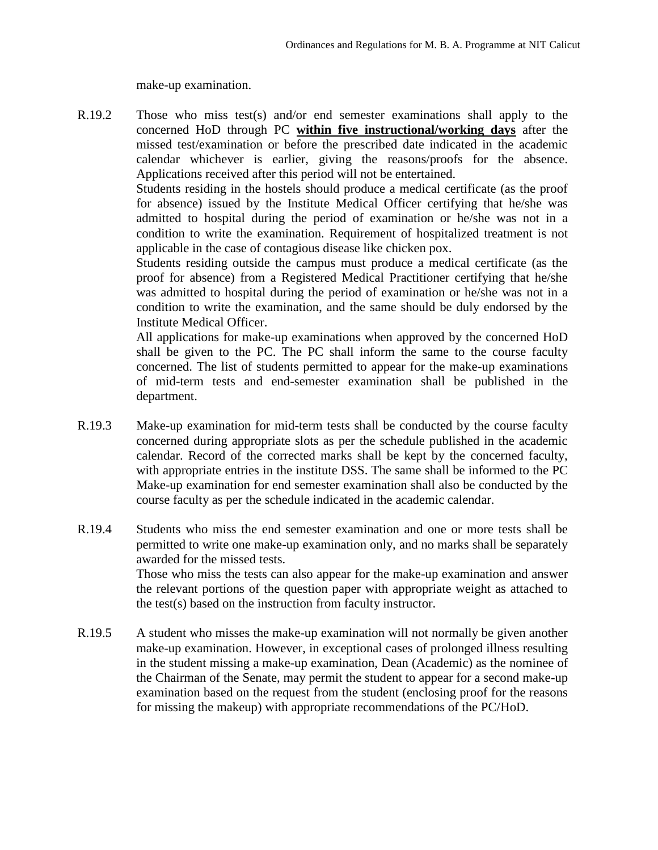make-up examination.

R.19.2 Those who miss test(s) and/or end semester examinations shall apply to the concerned HoD through PC **within five instructional/working days** after the missed test/examination or before the prescribed date indicated in the academic calendar whichever is earlier, giving the reasons/proofs for the absence. Applications received after this period will not be entertained.

> Students residing in the hostels should produce a medical certificate (as the proof for absence) issued by the Institute Medical Officer certifying that he/she was admitted to hospital during the period of examination or he/she was not in a condition to write the examination. Requirement of hospitalized treatment is not applicable in the case of contagious disease like chicken pox.

> Students residing outside the campus must produce a medical certificate (as the proof for absence) from a Registered Medical Practitioner certifying that he/she was admitted to hospital during the period of examination or he/she was not in a condition to write the examination, and the same should be duly endorsed by the Institute Medical Officer.

> All applications for make-up examinations when approved by the concerned HoD shall be given to the PC. The PC shall inform the same to the course faculty concerned. The list of students permitted to appear for the make-up examinations of mid-term tests and end-semester examination shall be published in the department.

- R.19.3 Make-up examination for mid-term tests shall be conducted by the course faculty concerned during appropriate slots as per the schedule published in the academic calendar. Record of the corrected marks shall be kept by the concerned faculty, with appropriate entries in the institute DSS. The same shall be informed to the PC Make-up examination for end semester examination shall also be conducted by the course faculty as per the schedule indicated in the academic calendar.
- R.19.4 Students who miss the end semester examination and one or more tests shall be permitted to write one make-up examination only, and no marks shall be separately awarded for the missed tests. Those who miss the tests can also appear for the make-up examination and answer the relevant portions of the question paper with appropriate weight as attached to the test(s) based on the instruction from faculty instructor.
- R.19.5 A student who misses the make-up examination will not normally be given another make-up examination. However, in exceptional cases of prolonged illness resulting in the student missing a make-up examination, Dean (Academic) as the nominee of the Chairman of the Senate, may permit the student to appear for a second make-up examination based on the request from the student (enclosing proof for the reasons for missing the makeup) with appropriate recommendations of the PC/HoD.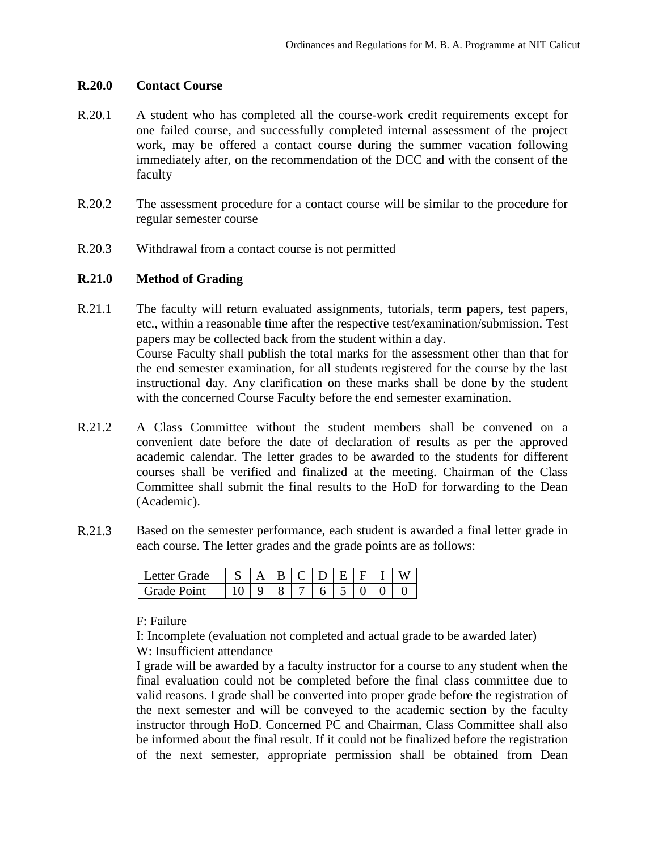#### **R.20.0 Contact Course**

- R.20.1 A student who has completed all the course-work credit requirements except for one failed course, and successfully completed internal assessment of the project work, may be offered a contact course during the summer vacation following immediately after, on the recommendation of the DCC and with the consent of the faculty
- R.20.2 The assessment procedure for a contact course will be similar to the procedure for regular semester course
- R.20.3 Withdrawal from a contact course is not permitted

### **R.21.0 Method of Grading**

- R.21.1 The faculty will return evaluated assignments, tutorials, term papers, test papers, etc., within a reasonable time after the respective test/examination/submission. Test papers may be collected back from the student within a day. Course Faculty shall publish the total marks for the assessment other than that for the end semester examination, for all students registered for the course by the last instructional day. Any clarification on these marks shall be done by the student with the concerned Course Faculty before the end semester examination.
- R.21.2 A Class Committee without the student members shall be convened on a convenient date before the date of declaration of results as per the approved academic calendar. The letter grades to be awarded to the students for different courses shall be verified and finalized at the meeting. Chairman of the Class Committee shall submit the final results to the HoD for forwarding to the Dean (Academic).
- R.21.3 Based on the semester performance, each student is awarded a final letter grade in each course. The letter grades and the grade points are as follows:

| Letter Grade       |  |  | RICIDIEI. |  |  |
|--------------------|--|--|-----------|--|--|
| <b>Grade Point</b> |  |  |           |  |  |

F: Failure

I: Incomplete (evaluation not completed and actual grade to be awarded later) W: Insufficient attendance

I grade will be awarded by a faculty instructor for a course to any student when the final evaluation could not be completed before the final class committee due to valid reasons. I grade shall be converted into proper grade before the registration of the next semester and will be conveyed to the academic section by the faculty instructor through HoD. Concerned PC and Chairman, Class Committee shall also be informed about the final result. If it could not be finalized before the registration of the next semester, appropriate permission shall be obtained from Dean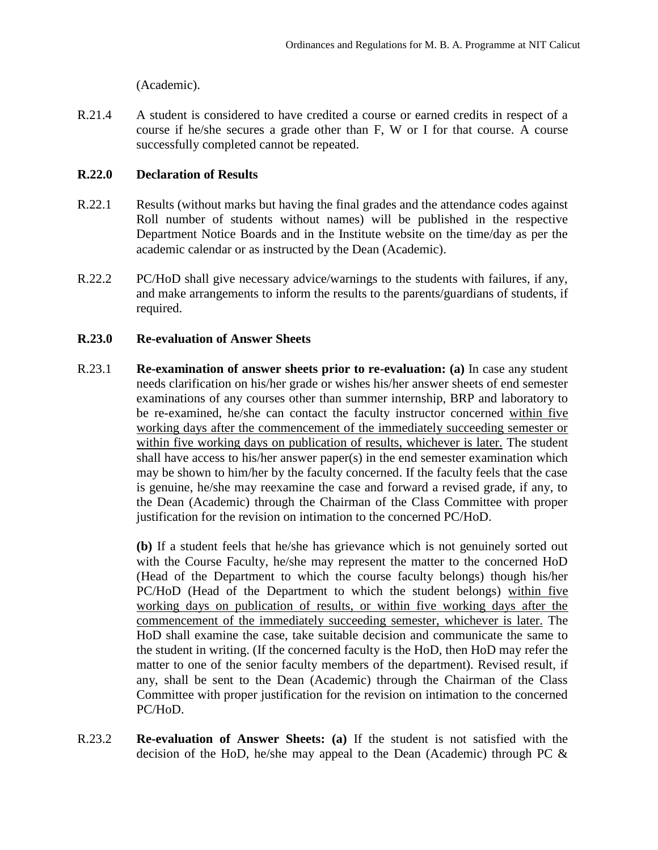(Academic).

R.21.4 A student is considered to have credited a course or earned credits in respect of a course if he/she secures a grade other than F, W or I for that course. A course successfully completed cannot be repeated.

## **R.22.0 Declaration of Results**

- R.22.1 Results (without marks but having the final grades and the attendance codes against Roll number of students without names) will be published in the respective Department Notice Boards and in the Institute website on the time/day as per the academic calendar or as instructed by the Dean (Academic).
- R.22.2 PC/HoD shall give necessary advice/warnings to the students with failures, if any, and make arrangements to inform the results to the parents/guardians of students, if required.

## **R.23.0 Re-evaluation of Answer Sheets**

R.23.1 **Re-examination of answer sheets prior to re-evaluation: (a)** In case any student needs clarification on his/her grade or wishes his/her answer sheets of end semester examinations of any courses other than summer internship, BRP and laboratory to be re-examined, he/she can contact the faculty instructor concerned within five working days after the commencement of the immediately succeeding semester or within five working days on publication of results, whichever is later. The student shall have access to his/her answer paper(s) in the end semester examination which may be shown to him/her by the faculty concerned. If the faculty feels that the case is genuine, he/she may reexamine the case and forward a revised grade, if any, to the Dean (Academic) through the Chairman of the Class Committee with proper justification for the revision on intimation to the concerned PC/HoD.

> **(b)** If a student feels that he/she has grievance which is not genuinely sorted out with the Course Faculty, he/she may represent the matter to the concerned HoD (Head of the Department to which the course faculty belongs) though his/her PC/HoD (Head of the Department to which the student belongs) within five working days on publication of results, or within five working days after the commencement of the immediately succeeding semester, whichever is later. The HoD shall examine the case, take suitable decision and communicate the same to the student in writing. (If the concerned faculty is the HoD, then HoD may refer the matter to one of the senior faculty members of the department). Revised result, if any, shall be sent to the Dean (Academic) through the Chairman of the Class Committee with proper justification for the revision on intimation to the concerned PC/HoD.

R.23.2 **Re-evaluation of Answer Sheets: (a)** If the student is not satisfied with the decision of the HoD, he/she may appeal to the Dean (Academic) through PC &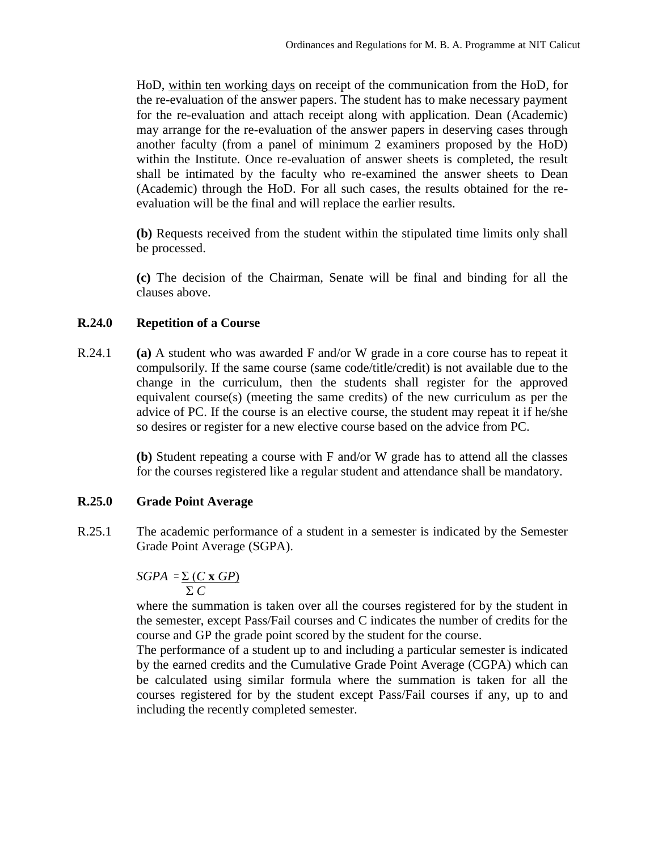HoD, within ten working days on receipt of the communication from the HoD, for the re-evaluation of the answer papers. The student has to make necessary payment for the re-evaluation and attach receipt along with application. Dean (Academic) may arrange for the re-evaluation of the answer papers in deserving cases through another faculty (from a panel of minimum 2 examiners proposed by the HoD) within the Institute. Once re-evaluation of answer sheets is completed, the result shall be intimated by the faculty who re-examined the answer sheets to Dean (Academic) through the HoD. For all such cases, the results obtained for the reevaluation will be the final and will replace the earlier results.

**(b)** Requests received from the student within the stipulated time limits only shall be processed.

**(c)** The decision of the Chairman, Senate will be final and binding for all the clauses above.

### **R.24.0 Repetition of a Course**

R.24.1 **(a)** A student who was awarded F and/or W grade in a core course has to repeat it compulsorily. If the same course (same code/title/credit) is not available due to the change in the curriculum, then the students shall register for the approved equivalent course(s) (meeting the same credits) of the new curriculum as per the advice of PC. If the course is an elective course, the student may repeat it if he/she so desires or register for a new elective course based on the advice from PC.

> **(b)** Student repeating a course with F and/or W grade has to attend all the classes for the courses registered like a regular student and attendance shall be mandatory.

### **R.25.0 Grade Point Average**

R.25.1 The academic performance of a student in a semester is indicated by the Semester Grade Point Average (SGPA).

$$
SGPA = \frac{\sum (C \times GP)}{\sum C}
$$

where the summation is taken over all the courses registered for by the student in the semester, except Pass/Fail courses and C indicates the number of credits for the course and GP the grade point scored by the student for the course.

The performance of a student up to and including a particular semester is indicated by the earned credits and the Cumulative Grade Point Average (CGPA) which can be calculated using similar formula where the summation is taken for all the courses registered for by the student except Pass/Fail courses if any, up to and including the recently completed semester.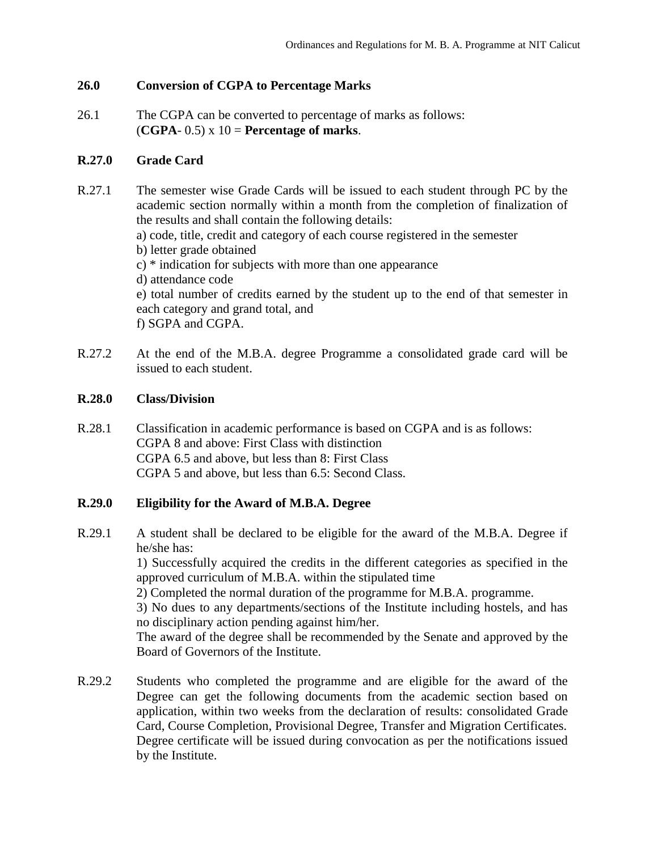## **26.0 Conversion of CGPA to Percentage Marks**

26.1 The CGPA can be converted to percentage of marks as follows:  $(CGPA-0.5) \times 10 =$  **Percentage of marks.** 

### **R.27.0 Grade Card**

R.27.1 The semester wise Grade Cards will be issued to each student through PC by the academic section normally within a month from the completion of finalization of the results and shall contain the following details: a) code, title, credit and category of each course registered in the semester b) letter grade obtained c) \* indication for subjects with more than one appearance d) attendance code e) total number of credits earned by the student up to the end of that semester in each category and grand total, and

f) SGPA and CGPA.

R.27.2 At the end of the M.B.A. degree Programme a consolidated grade card will be issued to each student.

### **R.28.0 Class/Division**

R.28.1 Classification in academic performance is based on CGPA and is as follows: CGPA 8 and above: First Class with distinction CGPA 6.5 and above, but less than 8: First Class CGPA 5 and above, but less than 6.5: Second Class.

### **R.29.0 Eligibility for the Award of M.B.A. Degree**

R.29.1 A student shall be declared to be eligible for the award of the M.B.A. Degree if he/she has:

> 1) Successfully acquired the credits in the different categories as specified in the approved curriculum of M.B.A. within the stipulated time

2) Completed the normal duration of the programme for M.B.A. programme.

3) No dues to any departments/sections of the Institute including hostels, and has no disciplinary action pending against him/her.

The award of the degree shall be recommended by the Senate and approved by the Board of Governors of the Institute.

R.29.2 Students who completed the programme and are eligible for the award of the Degree can get the following documents from the academic section based on application, within two weeks from the declaration of results: consolidated Grade Card, Course Completion, Provisional Degree, Transfer and Migration Certificates. Degree certificate will be issued during convocation as per the notifications issued by the Institute.